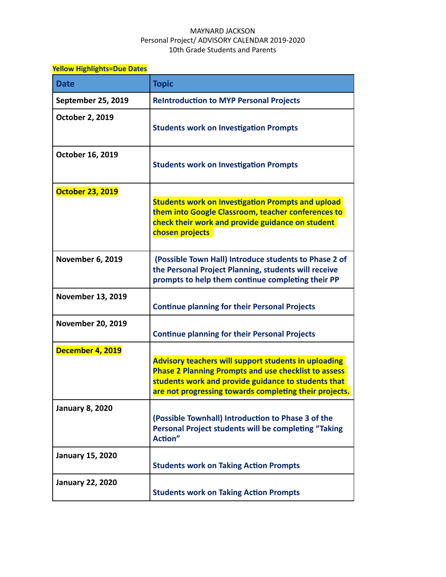## MAYNARD JACKSON Personal Project/ ADVISORY CALENDAR 2019-2020 10th Grade Students and Parents

| <b>Yellow Highlights=Due Dates</b> |                                                                                                                                                                                                                                             |
|------------------------------------|---------------------------------------------------------------------------------------------------------------------------------------------------------------------------------------------------------------------------------------------|
| <b>Date</b>                        | <b>Topic</b>                                                                                                                                                                                                                                |
| September 25, 2019                 | <b>ReIntroduction to MYP Personal Projects</b>                                                                                                                                                                                              |
| <b>October 2, 2019</b>             | <b>Students work on Investigation Prompts</b>                                                                                                                                                                                               |
| October 16, 2019                   | <b>Students work on Investigation Prompts</b>                                                                                                                                                                                               |
| <b>October 23, 2019</b>            | <b>Students work on Investigation Prompts and upload</b><br>them into Google Classroom, teacher conferences to<br>check their work and provide guidance on student<br>chosen projects                                                       |
| <b>November 6, 2019</b>            | (Possible Town Hall) Introduce students to Phase 2 of<br>the Personal Project Planning, students will receive<br>prompts to help them continue completing their PP                                                                          |
| <b>November 13, 2019</b>           | <b>Continue planning for their Personal Projects</b>                                                                                                                                                                                        |
| <b>November 20, 2019</b>           | <b>Continue planning for their Personal Projects</b>                                                                                                                                                                                        |
| December 4, 2019                   | <b>Advisory teachers will support students in uploading</b><br><b>Phase 2 Planning Prompts and use checklist to assess</b><br>students work and provide guidance to students that<br>are not progressing towards completing their projects. |
| <b>January 8, 2020</b>             | (Possible Townhall) Introduction to Phase 3 of the<br>Personal Project students will be completing "Taking<br>Action"                                                                                                                       |
| <b>January 15, 2020</b>            | <b>Students work on Taking Action Prompts</b>                                                                                                                                                                                               |
| <b>January 22, 2020</b>            | <b>Students work on Taking Action Prompts</b>                                                                                                                                                                                               |